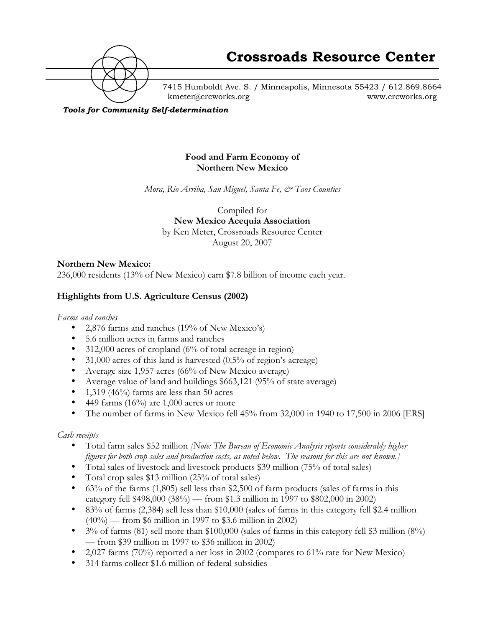

7415 Humboldt Ave. S. / Minneapolis, Minnesota 55423 / 612.869.8664 kmeter@crcworks.org www.crcworks.org

*Tools for Community Self-determination*

## **Food and Farm Economy of Northern New Mexico**

*Mora, Rio Arriba, San Miguel, Santa Fe, & Taos Counties*

Compiled for **New Mexico Acequia Association** by Ken Meter, Crossroads Resource Center August 20, 2007

### **Northern New Mexico:**

236,000 residents (13% of New Mexico) earn \$7.8 billion of income each year.

## **Highlights from U.S. Agriculture Census (2002)**

*Farms and ranches*

2,876 farms and ranches (19% of New Mexico's) 5.6 million acres in farms and ranches 312,000 acres of cropland (6% of total acreage in region) 31,000 acres of this land is harvested (0.5% of region's acreage) Average size 1,957 acres (66% of New Mexico average) Average value of land and buildings \$663,121 (95% of state average) 1,319 (46%) farms are less than 50 acres 449 farms (16%) are 1,000 acres or more The number of farms in New Mexico fell 45% from 32,000 in 1940 to 17,500 in 2006 [ERS]

### *Cash receipts*

Total farm sales \$52 million *[Note: The Bureau of Economic Analysis reports considerably higher figures for both crop sales and production costs, as noted below. The reasons for this are not known.]* Total sales of livestock and livestock products \$39 million (75% of total sales) Total crop sales \$13 million (25% of total sales) 63% of the farms (1,805) sell less than \$2,500 of farm products (sales of farms in this category fell \$498,000 (38%) — from \$1.3 million in 1997 to \$802,000 in 2002) 83% of farms (2,384) sell less than \$10,000 (sales of farms in this category fell \$2.4 million  $(40\%)$  — from \$6 million in 1997 to \$3.6 million in 2002) 3% of farms (81) sell more than \$100,000 (sales of farms in this category fell \$3 million (8%) — from \$39 million in 1997 to \$36 million in 2002) 2,027 farms (70%) reported a net loss in 2002 (compares to 61% rate for New Mexico) 314 farms collect \$1.6 million of federal subsidies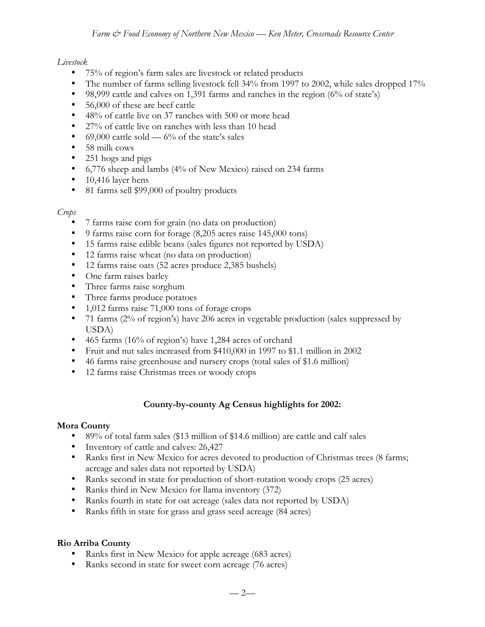## *Livestock*

75% of region's farm sales are livestock or related products The number of farms selling livestock fell 34% from 1997 to 2002, while sales dropped 17% 98,999 cattle and calves on 1,391 farms and ranches in the region (6% of state's) 56,000 of these are beef cattle 48% of cattle live on 37 ranches with 500 or more head 27% of cattle live on ranches with less than 10 head 69,000 cattle sold  $-6\%$  of the state's sales 58 milk cows 251 hogs and pigs 6,776 sheep and lambs (4% of New Mexico) raised on 234 farms 10,416 layer hens 81 farms sell \$99,000 of poultry products

## *Crops*

7 farms raise corn for grain (no data on production) 9 farms raise corn for forage (8,205 acres raise 145,000 tons) 15 farms raise edible beans (sales figures not reported by USDA) 12 farms raise wheat (no data on production) 12 farms raise oats (52 acres produce 2,385 bushels) One farm raises barley Three farms raise sorghum Three farms produce potatoes 1,012 farms raise 71,000 tons of forage crops 71 farms (2% of region's) have 206 acres in vegetable production (sales suppressed by USDA) 465 farms (16% of region's) have 1,284 acres of orchard Fruit and nut sales increased from \$410,000 in 1997 to \$1.1 million in 2002 46 farms raise greenhouse and nursery crops (total sales of \$1.6 million) 12 farms raise Christmas trees or woody crops

# **County-by-county Ag Census highlights for 2002:**

## **Mora County**

89% of total farm sales (\$13 million of \$14.6 million) are cattle and calf sales Inventory of cattle and calves: 26,427 Ranks first in New Mexico for acres devoted to production of Christmas trees (8 farms; acreage and sales data not reported by USDA) Ranks second in state for production of short-rotation woody crops (25 acres) Ranks third in New Mexico for llama inventory (372) Ranks fourth in state for oat acreage (sales data not reported by USDA) Ranks fifth in state for grass and grass seed acreage (84 acres)

# **Rio Arriba County**

Ranks first in New Mexico for apple acreage (683 acres) Ranks second in state for sweet corn acreage (76 acres)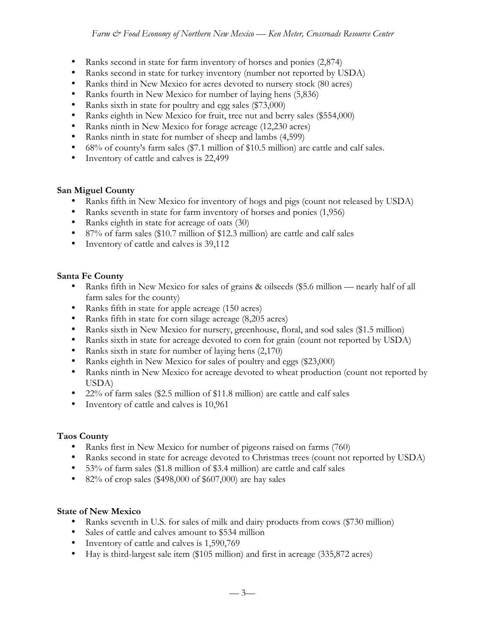Ranks second in state for farm inventory of horses and ponies (2,874) Ranks second in state for turkey inventory (number not reported by USDA) Ranks third in New Mexico for acres devoted to nursery stock (80 acres) Ranks fourth in New Mexico for number of laying hens (5,836) Ranks sixth in state for poultry and egg sales (\$73,000) Ranks eighth in New Mexico for fruit, tree nut and berry sales (\$554,000) Ranks ninth in New Mexico for forage acreage (12,230 acres) Ranks ninth in state for number of sheep and lambs (4,599) 68% of county's farm sales (\$7.1 million of \$10.5 million) are cattle and calf sales. Inventory of cattle and calves is 22,499

#### **San Miguel County**

Ranks fifth in New Mexico for inventory of hogs and pigs (count not released by USDA) Ranks seventh in state for farm inventory of horses and ponies (1,956) Ranks eighth in state for acreage of oats (30) 87% of farm sales (\$10.7 million of \$12.3 million) are cattle and calf sales Inventory of cattle and calves is 39,112

#### **Santa Fe County**

Ranks fifth in New Mexico for sales of grains & oilseeds (\$5.6 million — nearly half of all farm sales for the county)

Ranks fifth in state for apple acreage (150 acres)

Ranks fifth in state for corn silage acreage (8,205 acres)

Ranks sixth in New Mexico for nursery, greenhouse, floral, and sod sales (\$1.5 million)

Ranks sixth in state for acreage devoted to corn for grain (count not reported by USDA) Ranks sixth in state for number of laying hens (2,170)

Ranks eighth in New Mexico for sales of poultry and eggs (\$23,000)

Ranks ninth in New Mexico for acreage devoted to wheat production (count not reported by USDA)

22% of farm sales (\$2.5 million of \$11.8 million) are cattle and calf sales Inventory of cattle and calves is 10,961

#### **Taos County**

Ranks first in New Mexico for number of pigeons raised on farms (760) Ranks second in state for acreage devoted to Christmas trees (count not reported by USDA) 53% of farm sales (\$1.8 million of \$3.4 million) are cattle and calf sales 82% of crop sales (\$498,000 of \$607,000) are hay sales

#### **State of New Mexico**

Ranks seventh in U.S. for sales of milk and dairy products from cows (\$730 million) Sales of cattle and calves amount to \$534 million Inventory of cattle and calves is 1,590,769 Hay is third-largest sale item (\$105 million) and first in acreage (335,872 acres)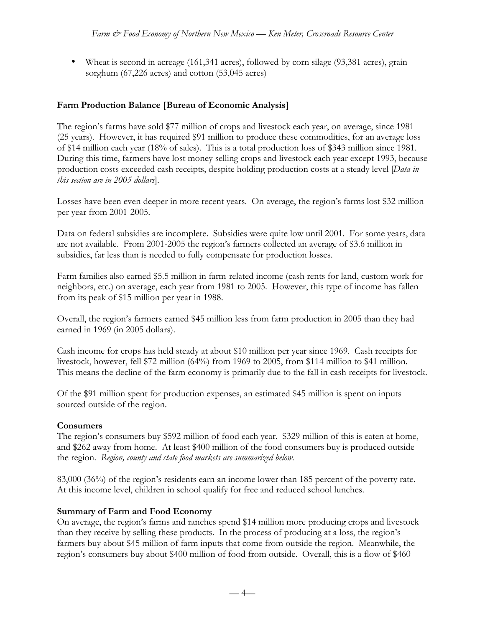Wheat is second in acreage (161,341 acres), followed by corn silage (93,381 acres), grain sorghum (67,226 acres) and cotton (53,045 acres)

### **Farm Production Balance [Bureau of Economic Analysis]**

The region's farms have sold \$77 million of crops and livestock each year, on average, since 1981 (25 years). However, it has required \$91 million to produce these commodities, for an average loss of \$14 million each year (18% of sales). This is a total production loss of \$343 million since 1981. During this time, farmers have lost money selling crops and livestock each year except 1993, because production costs exceeded cash receipts, despite holding production costs at a steady level [*Data in this section are in 2005 dollars*].

Losses have been even deeper in more recent years. On average, the region's farms lost \$32 million per year from 2001-2005.

Data on federal subsidies are incomplete. Subsidies were quite low until 2001. For some years, data are not available. From 2001-2005 the region's farmers collected an average of \$3.6 million in subsidies, far less than is needed to fully compensate for production losses.

Farm families also earned \$5.5 million in farm-related income (cash rents for land, custom work for neighbors, etc.) on average, each year from 1981 to 2005. However, this type of income has fallen from its peak of \$15 million per year in 1988.

Overall, the region's farmers earned \$45 million less from farm production in 2005 than they had earned in 1969 (in 2005 dollars).

Cash income for crops has held steady at about \$10 million per year since 1969. Cash receipts for livestock, however, fell \$72 million (64%) from 1969 to 2005, from \$114 million to \$41 million. This means the decline of the farm economy is primarily due to the fall in cash receipts for livestock.

Of the \$91 million spent for production expenses, an estimated \$45 million is spent on inputs sourced outside of the region.

### **Consumers**

The region's consumers buy \$592 million of food each year. \$329 million of this is eaten at home, and \$262 away from home. At least \$400 million of the food consumers buy is produced outside the region. *Region, county and state food markets are summarized below.*

83,000 (36%) of the region's residents earn an income lower than 185 percent of the poverty rate. At this income level, children in school qualify for free and reduced school lunches.

## **Summary of Farm and Food Economy**

On average, the region's farms and ranches spend \$14 million more producing crops and livestock than they receive by selling these products. In the process of producing at a loss, the region's farmers buy about \$45 million of farm inputs that come from outside the region. Meanwhile, the region's consumers buy about \$400 million of food from outside. Overall, this is a flow of \$460

— 4—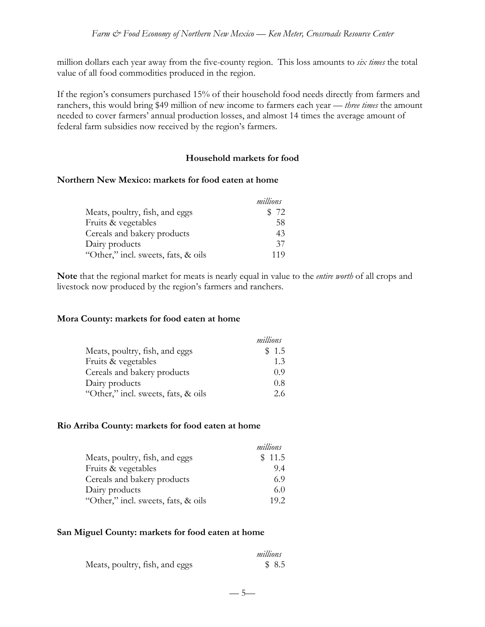million dollars each year away from the five-county region. This loss amounts to *six times* the total value of all food commodities produced in the region.

If the region's consumers purchased 15% of their household food needs directly from farmers and ranchers, this would bring \$49 million of new income to farmers each year — *three times* the amount needed to cover farmers' annual production losses, and almost 14 times the average amount of federal farm subsidies now received by the region's farmers.

## **Household markets for food**

### **Northern New Mexico: markets for food eaten at home**

|                                     | millions |
|-------------------------------------|----------|
| Meats, poultry, fish, and eggs      | \$72     |
| Fruits & vegetables                 | .58      |
| Cereals and bakery products         | 43       |
| Dairy products                      | 37       |
| "Other," incl. sweets, fats, & oils | 119      |

**Note** that the regional market for meats is nearly equal in value to the *entire worth* of all crops and livestock now produced by the region's farmers and ranchers.

#### **Mora County: markets for food eaten at home**

|                                     | millions |
|-------------------------------------|----------|
| Meats, poultry, fish, and eggs      | \$1.5    |
| Fruits & vegetables                 | 1.3      |
| Cereals and bakery products         | 0.9      |
| Dairy products                      | 0.8      |
| "Other," incl. sweets, fats, & oils | 2.6      |

#### **Rio Arriba County: markets for food eaten at home**

|                                     | millions |
|-------------------------------------|----------|
| Meats, poultry, fish, and eggs      | \$11.5   |
| Fruits & vegetables                 | 9.4      |
| Cereals and bakery products         | 6.9      |
| Dairy products                      | 6.0      |
| "Other," incl. sweets, fats, & oils | 19.2     |

### **San Miguel County: markets for food eaten at home**

|                                | millions |
|--------------------------------|----------|
| Meats, poultry, fish, and eggs | \$8.5    |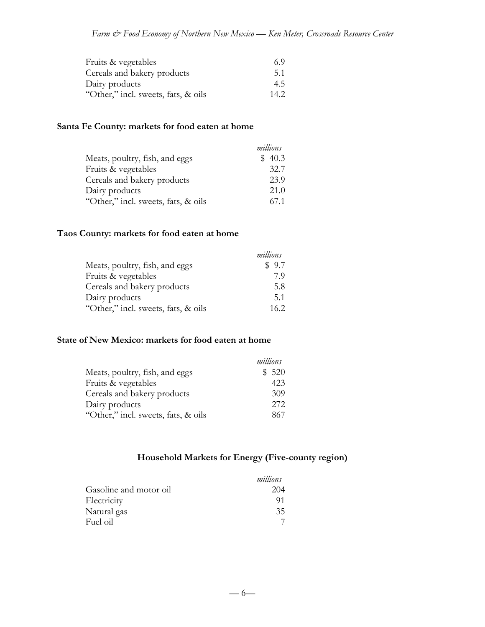| Fruits & vegetables                 | 69   |
|-------------------------------------|------|
| Cereals and bakery products         | 5.1  |
| Dairy products                      | 4.5  |
| "Other," incl. sweets, fats, & oils | 14.2 |

# **Santa Fe County: markets for food eaten at home**

|                                     | millions |
|-------------------------------------|----------|
| Meats, poultry, fish, and eggs      | \$40.3   |
| Fruits & vegetables                 | 32.7     |
| Cereals and bakery products         | 23.9     |
| Dairy products                      | 21.0     |
| "Other," incl. sweets, fats, & oils | 67.1     |

# **Taos County: markets for food eaten at home**

|                                     | millions |
|-------------------------------------|----------|
| Meats, poultry, fish, and eggs      | \$9.7    |
| Fruits & vegetables                 | 7 9      |
| Cereals and bakery products         | 5.8      |
| Dairy products                      | 5.1      |
| "Other," incl. sweets, fats, & oils | 16.2     |

## **State of New Mexico: markets for food eaten at home**

|                                     | millions |
|-------------------------------------|----------|
| Meats, poultry, fish, and eggs      | \$520    |
| Fruits & vegetables                 | 423      |
| Cereals and bakery products         | 309      |
| Dairy products                      | 272      |
| "Other," incl. sweets, fats, & oils | 867      |

# **Household Markets for Energy (Five-county region)**

|                        | millions |
|------------------------|----------|
| Gasoline and motor oil | 204      |
| Electricity            | 91       |
| Natural gas            | 35       |
| Fuel oil               |          |